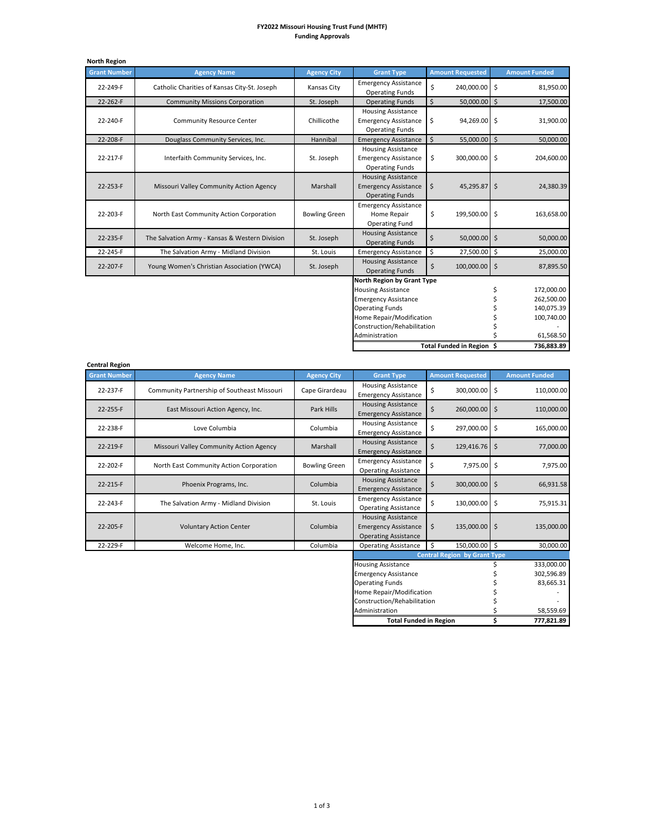## **FY2022 Missouri Housing Trust Fund (MHTF) Funding Approvals**

| <b>North Region</b> |                                                |                      |                                                                                    |    |                         |                      |
|---------------------|------------------------------------------------|----------------------|------------------------------------------------------------------------------------|----|-------------------------|----------------------|
| <b>Grant Number</b> | <b>Agency Name</b>                             | <b>Agency City</b>   | <b>Grant Type</b>                                                                  |    | <b>Amount Requested</b> | <b>Amount Funded</b> |
| 22-249-F            | Catholic Charities of Kansas City-St. Joseph   | Kansas City          | <b>Emergency Assistance</b><br><b>Operating Funds</b>                              | \$ | 240,000.00 \$           | 81,950.00            |
| 22-262-F            | <b>Community Missions Corporation</b>          | St. Joseph           | <b>Operating Funds</b>                                                             | \$ | 50,000.00 \$            | 17,500.00            |
| 22-240-F            | Community Resource Center                      | Chillicothe          | <b>Housing Assistance</b><br><b>Emergency Assistance</b><br><b>Operating Funds</b> | \$ | 94,269.00 \$            | 31,900.00            |
| 22-208-F            | Douglass Community Services, Inc.              | Hannibal             | <b>Emergency Assistance</b>                                                        | Ŝ. | 55,000.00 \$            | 50,000.00            |
| 22-217-F            | Interfaith Community Services, Inc.            | St. Joseph           | <b>Housing Assistance</b><br><b>Emergency Assistance</b><br><b>Operating Funds</b> | \$ | 300,000.00 \$           | 204,600.00           |
| 22-253-F            | Missouri Valley Community Action Agency        | Marshall             | <b>Housing Assistance</b><br><b>Emergency Assistance</b><br><b>Operating Funds</b> | \$ | 45,295.87 \$            | 24,380.39            |
| 22-203-F            | North East Community Action Corporation        | <b>Bowling Green</b> | <b>Emergency Assistance</b><br>Home Repair<br><b>Operating Fund</b>                | \$ | 199,500.00 \$           | 163,658.00           |
| 22-235-F            | The Salvation Army - Kansas & Western Division | St. Joseph           | <b>Housing Assistance</b><br><b>Operating Funds</b>                                | Ś  | 50,000.00 \$            | 50,000.00            |
| 22-245-F            | The Salvation Army - Midland Division          | St. Louis            | <b>Emergency Assistance</b>                                                        | \$ | 27,500.00 \$            | 25,000.00            |
| 22-207-F            | Young Women's Christian Association (YWCA)     | St. Joseph           | <b>Housing Assistance</b><br><b>Operating Funds</b>                                | \$ | 100,000.00 \$           | 87,895.50            |
|                     |                                                |                      | North Region by Grant Type                                                         |    |                         |                      |
|                     |                                                |                      | <b>Housing Assistance</b>                                                          |    |                         | 172,000.00           |
|                     |                                                |                      | <b>Emergency Assistance</b>                                                        |    |                         | 262,500.00           |
|                     |                                                |                      | <b>Operating Funds</b>                                                             |    |                         | 140,075.39           |
|                     |                                                |                      | Home Repair/Modification                                                           |    |                         | 100,740.00           |
|                     |                                                |                      | Construction/Rehabilitation                                                        |    |                         |                      |

| Administration |                           | 61.568.50  |
|----------------|---------------------------|------------|
|                | Total Funded in Region \$ | 736,883.89 |

| <b>Central Region</b> |                                             |                      |                                                                                         |                         |                      |
|-----------------------|---------------------------------------------|----------------------|-----------------------------------------------------------------------------------------|-------------------------|----------------------|
| <b>Grant Number</b>   | <b>Agency Name</b>                          | <b>Agency City</b>   | <b>Grant Type</b>                                                                       | <b>Amount Requested</b> | <b>Amount Funded</b> |
| 22-237-F              | Community Partnership of Southeast Missouri | Cape Girardeau       | <b>Housing Assistance</b><br><b>Emergency Assistance</b>                                | \$<br>300,000.00        | -\$<br>110,000.00    |
| 22-255-F              | East Missouri Action Agency, Inc.           | Park Hills           | <b>Housing Assistance</b><br><b>Emergency Assistance</b>                                | \$<br>260,000.00 \$     | 110,000.00           |
| 22-238-F              | Love Columbia                               | Columbia             | <b>Housing Assistance</b><br><b>Emergency Assistance</b>                                | Ś<br>297,000.00         | -Ś<br>165,000.00     |
| 22-219-F              | Missouri Valley Community Action Agency     | Marshall             | <b>Housing Assistance</b><br><b>Emergency Assistance</b>                                | Ś<br>129,416.76         | \$<br>77,000.00      |
| 22-202-F              | North East Community Action Corporation     | <b>Bowling Green</b> | <b>Emergency Assistance</b><br><b>Operating Assistance</b>                              | 7,975.00<br>Ś           | Ś.<br>7,975.00       |
| 22-215-F              | Phoenix Programs, Inc.                      | Columbia             | <b>Housing Assistance</b><br><b>Emergency Assistance</b>                                | Ś<br>300,000.00         | \$<br>66,931.58      |
| 22-243-F              | The Salvation Army - Midland Division       | St. Louis            | <b>Emergency Assistance</b><br><b>Operating Assistance</b>                              | Ś<br>130,000.00         | \$<br>75,915.31      |
| 22-205-F              | <b>Voluntary Action Center</b>              | Columbia             | <b>Housing Assistance</b><br><b>Emergency Assistance</b><br><b>Operating Assistance</b> | \$<br>135,000.00 \$     | 135,000.00           |
| 22-229-F              | Welcome Home, Inc.                          | Columbia             | <b>Operating Assistance</b>                                                             | Ś<br>150,000.00 \$      | 30,000.00            |
|                       |                                             |                      | <b>Central Region by Grant Type</b>                                                     |                         |                      |

| Central Region by Grant Type  |            |
|-------------------------------|------------|
| <b>Housing Assistance</b>     | 333,000.00 |
| <b>Emergency Assistance</b>   | 302,596.89 |
| <b>Operating Funds</b>        | 83,665.31  |
| Home Repair/Modification      |            |
| Construction/Rehabilitation   |            |
| Administration                | 58.559.69  |
| <b>Total Funded in Region</b> | 777,821.89 |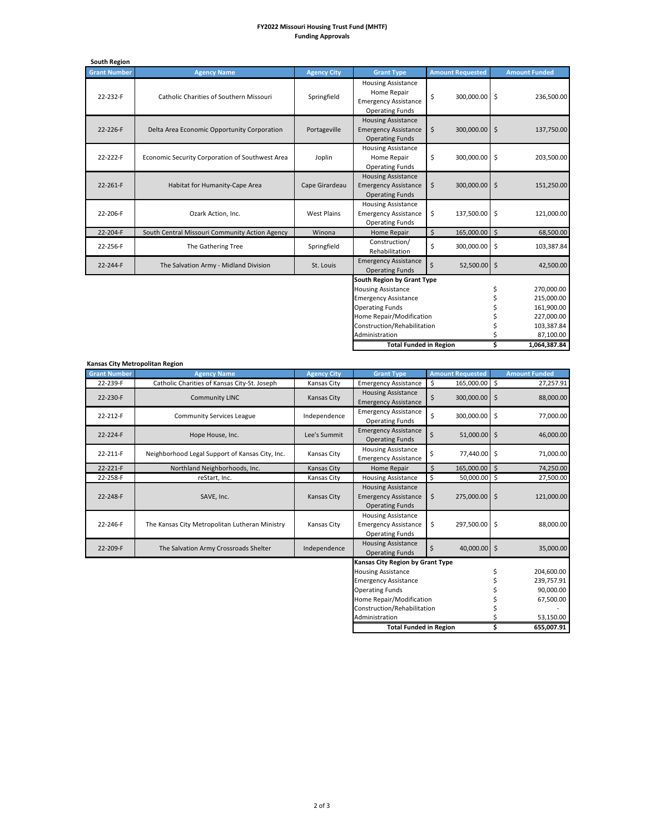## **FY2022 Missouri Housing Trust Fund (MHTF) Funding Approvals**

| <b>South Region</b> |                                                 |                    |                                                                                                                                                                             |                         |                     |                                                                    |
|---------------------|-------------------------------------------------|--------------------|-----------------------------------------------------------------------------------------------------------------------------------------------------------------------------|-------------------------|---------------------|--------------------------------------------------------------------|
| <b>Grant Number</b> | <b>Agency Name</b>                              | <b>Agency City</b> | <b>Grant Type</b>                                                                                                                                                           | <b>Amount Requested</b> |                     | <b>Amount Funded</b>                                               |
| 22-232-F            | Catholic Charities of Southern Missouri         | Springfield        | <b>Housing Assistance</b><br>Home Repair<br><b>Emergency Assistance</b><br><b>Operating Funds</b>                                                                           | \$<br>300,000.00        | $\ddot{\mathsf{S}}$ | 236,500.00                                                         |
| 22-226-F            | Delta Area Economic Opportunity Corporation     | Portageville       | <b>Housing Assistance</b><br><b>Emergency Assistance</b><br><b>Operating Funds</b>                                                                                          | \$<br>300,000.00 \$     |                     | 137,750.00                                                         |
| 22-222-F            | Economic Security Corporation of Southwest Area | Joplin             | <b>Housing Assistance</b><br>Home Repair<br><b>Operating Funds</b>                                                                                                          | \$<br>300,000.00        | $\zeta$             | 203,500.00                                                         |
| 22-261-F            | Habitat for Humanity-Cape Area                  | Cape Girardeau     | <b>Housing Assistance</b><br><b>Emergency Assistance</b><br><b>Operating Funds</b>                                                                                          | \$<br>300,000.00 \$     |                     | 151,250.00                                                         |
| 22-206-F            | Ozark Action, Inc.                              | <b>West Plains</b> | <b>Housing Assistance</b><br><b>Emergency Assistance</b><br><b>Operating Funds</b>                                                                                          | \$<br>137,500.00 \$     |                     | 121,000.00                                                         |
| 22-204-F            | South Central Missouri Community Action Agency  | Winona             | <b>Home Repair</b>                                                                                                                                                          | \$<br>165,000.00 \$     |                     | 68,500.00                                                          |
| 22-256-F            | The Gathering Tree                              | Springfield        | Construction/<br>Rehabilitation                                                                                                                                             | \$<br>300,000.00        | $\ddot{\mathsf{S}}$ | 103,387.84                                                         |
| 22-244-F            | The Salvation Army - Midland Division           | St. Louis          | <b>Emergency Assistance</b><br><b>Operating Funds</b>                                                                                                                       | \$<br>52,500.00 \$      |                     | 42,500.00                                                          |
|                     |                                                 |                    | South Region by Grant Type<br><b>Housing Assistance</b><br><b>Emergency Assistance</b><br><b>Operating Funds</b><br>Home Repair/Modification<br>Construction/Rehabilitation |                         | \$                  | 270,000.00<br>215,000.00<br>161,900.00<br>227,000.00<br>103,387.84 |
|                     |                                                 |                    | Administration                                                                                                                                                              |                         |                     | 87,100.00                                                          |

**\$ 1,064,387.84 Total Funded in Region** 

| Kansas City Metropolitan Region |                                                 |                    |                                                                                    |                         |           |                      |
|---------------------------------|-------------------------------------------------|--------------------|------------------------------------------------------------------------------------|-------------------------|-----------|----------------------|
| <b>Grant Number</b>             | <b>Agency Name</b>                              | <b>Agency City</b> | <b>Grant Type</b>                                                                  | <b>Amount Requested</b> |           | <b>Amount Funded</b> |
| 22-239-F                        | Catholic Charities of Kansas City-St. Joseph    | Kansas City        | <b>Emergency Assistance</b>                                                        | 165,000.00 \$<br>\$     |           | 27,257.91            |
| 22-230-F                        | <b>Community LINC</b>                           | Kansas City        | <b>Housing Assistance</b><br><b>Emergency Assistance</b>                           | Ś<br>300,000.00         | $\zeta$   | 88,000.00            |
| 22-212-F                        | <b>Community Services League</b>                | Independence       | <b>Emergency Assistance</b><br><b>Operating Funds</b>                              | \$<br>300,000.00        | \$        | 77,000.00            |
| 22-224-F                        | Hope House, Inc.                                | Lee's Summit       | <b>Emergency Assistance</b><br><b>Operating Funds</b>                              | \$<br>51,000.00         | \$        | 46,000.00            |
| 22-211-F                        | Neighborhood Legal Support of Kansas City, Inc. | Kansas City        | <b>Housing Assistance</b><br><b>Emergency Assistance</b>                           | \$<br>77,440.00         | \$        | 71,000.00            |
| 22-221-F                        | Northland Neighborhoods, Inc.                   | <b>Kansas City</b> | Home Repair                                                                        | $\zeta$<br>165,000.00   | Ŝ.        | 74,250.00            |
| 22-258-F                        | reStart, Inc.                                   | Kansas City        | <b>Housing Assistance</b>                                                          | \$<br>50,000.00         | \$        | 27,500.00            |
| 22-248-F                        | SAVE, Inc.                                      | <b>Kansas City</b> | <b>Housing Assistance</b><br><b>Emergency Assistance</b><br><b>Operating Funds</b> | \$<br>275,000.00        | $\zeta$   | 121,000.00           |
| 22-246-F                        | The Kansas City Metropolitan Lutheran Ministry  | Kansas City        | <b>Housing Assistance</b><br><b>Emergency Assistance</b><br><b>Operating Funds</b> | \$<br>297,500.00        | \$        | 88,000.00            |
| 22-209-F                        | The Salvation Army Crossroads Shelter           | Independence       | <b>Housing Assistance</b><br><b>Operating Funds</b>                                | \$<br>40.000.00         | $\zeta$   | 35,000.00            |
|                                 |                                                 |                    | <b>Kansas City Region by Grant Type</b>                                            |                         |           |                      |
|                                 |                                                 |                    | <b>Housing Assistance</b>                                                          |                         | \$        | 204,600.00           |
|                                 |                                                 |                    | <b>Emergency Assistance</b>                                                        |                         |           | 239,757.91           |
|                                 |                                                 |                    | <b>Operating Funds</b>                                                             |                         |           | 90,000.00            |
|                                 |                                                 |                    | Home Repair/Modification                                                           |                         |           | 67,500.00            |
|                                 |                                                 |                    | Construction/Rehabilitation                                                        |                         |           |                      |
| Administration                  |                                                 |                    |                                                                                    |                         | 53,150.00 |                      |
|                                 |                                                 |                    | <b>Total Funded in Region</b>                                                      |                         | Ś         | 655,007.91           |

2 of 3